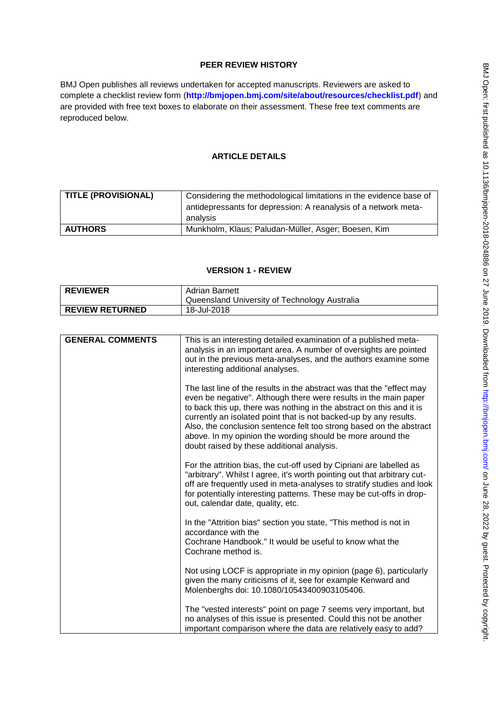# **PEER REVIEW HISTORY**

BMJ Open publishes all reviews undertaken for accepted manuscripts. Reviewers are asked to complete a checklist review form (**[http://bmjopen.bmj.com/site/about/resources/checklist.pdf\)](http://bmjopen.bmj.com/site/about/resources/checklist.pdf)** and are provided with free text boxes to elaborate on their assessment. These free text comments are reproduced below.

# **ARTICLE DETAILS**

| TITLE (PROVISIONAL) | Considering the methodological limitations in the evidence base of<br>antidepressants for depression: A reanalysis of a network meta- |
|---------------------|---------------------------------------------------------------------------------------------------------------------------------------|
|                     | analysis                                                                                                                              |
| <b>AUTHORS</b>      | Munkholm, Klaus; Paludan-Müller, Asger; Boesen, Kim                                                                                   |

### **VERSION 1 - REVIEW**

| <b>REVIEWER</b>        | Adrian Barnett<br>Queensland University of Technology Australia |
|------------------------|-----------------------------------------------------------------|
| <b>REVIEW RETURNED</b> | 18-Jul-2018                                                     |

| <b>GENERAL COMMENTS</b> | This is an interesting detailed examination of a published meta-<br>analysis in an important area. A number of oversights are pointed<br>out in the previous meta-analyses, and the authors examine some<br>interesting additional analyses.                                                                                                                                                                                                                              |
|-------------------------|---------------------------------------------------------------------------------------------------------------------------------------------------------------------------------------------------------------------------------------------------------------------------------------------------------------------------------------------------------------------------------------------------------------------------------------------------------------------------|
|                         | The last line of the results in the abstract was that the "effect may<br>even be negative". Although there were results in the main paper<br>to back this up, there was nothing in the abstract on this and it is<br>currently an isolated point that is not backed-up by any results.<br>Also, the conclusion sentence felt too strong based on the abstract<br>above. In my opinion the wording should be more around the<br>doubt raised by these additional analysis. |
|                         | For the attrition bias, the cut-off used by Cipriani are labelled as<br>"arbitrary". Whilst I agree, it's worth pointing out that arbitrary cut-<br>off are frequently used in meta-analyses to stratify studies and look<br>for potentially interesting patterns. These may be cut-offs in drop-<br>out, calendar date, quality, etc.                                                                                                                                    |
|                         | In the "Attrition bias" section you state, "This method is not in<br>accordance with the<br>Cochrane Handbook." It would be useful to know what the<br>Cochrane method is.                                                                                                                                                                                                                                                                                                |
|                         | Not using LOCF is appropriate in my opinion (page 6), particularly<br>given the many criticisms of it, see for example Kenward and<br>Molenberghs doi: 10.1080/10543400903105406.                                                                                                                                                                                                                                                                                         |
|                         | The "vested interests" point on page 7 seems very important, but<br>no analyses of this issue is presented. Could this not be another<br>important comparison where the data are relatively easy to add?                                                                                                                                                                                                                                                                  |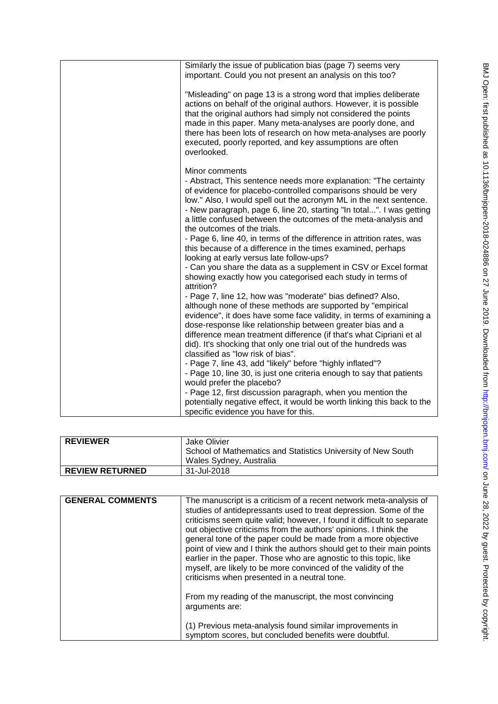| Similarly the issue of publication bias (page 7) seems very<br>important. Could you not present an analysis on this too?                                                                                                                                                                                                                                                                                                                                                                                                                                                                                                                                                                                                                                                                        |
|-------------------------------------------------------------------------------------------------------------------------------------------------------------------------------------------------------------------------------------------------------------------------------------------------------------------------------------------------------------------------------------------------------------------------------------------------------------------------------------------------------------------------------------------------------------------------------------------------------------------------------------------------------------------------------------------------------------------------------------------------------------------------------------------------|
| "Misleading" on page 13 is a strong word that implies deliberate<br>actions on behalf of the original authors. However, it is possible<br>that the original authors had simply not considered the points<br>made in this paper. Many meta-analyses are poorly done, and<br>there has been lots of research on how meta-analyses are poorly<br>executed, poorly reported, and key assumptions are often<br>overlooked.                                                                                                                                                                                                                                                                                                                                                                           |
| Minor comments<br>- Abstract, This sentence needs more explanation: "The certainty<br>of evidence for placebo-controlled comparisons should be very<br>low." Also, I would spell out the acronym ML in the next sentence.<br>- New paragraph, page 6, line 20, starting "In total". I was getting<br>a little confused between the outcomes of the meta-analysis and<br>the outcomes of the trials.<br>- Page 6, line 40, in terms of the difference in attrition rates, was<br>this because of a difference in the times examined, perhaps<br>looking at early versus late follow-ups?<br>- Can you share the data as a supplement in CSV or Excel format<br>showing exactly how you categorised each study in terms of<br>attrition?                                                          |
| - Page 7, line 12, how was "moderate" bias defined? Also,<br>although none of these methods are supported by "empirical<br>evidence", it does have some face validity, in terms of examining a<br>dose-response like relationship between greater bias and a<br>difference mean treatment difference (if that's what Cipriani et al<br>did). It's shocking that only one trial out of the hundreds was<br>classified as "low risk of bias".<br>- Page 7, line 43, add "likely" before "highly inflated"?<br>- Page 10, line 30, is just one criteria enough to say that patients<br>would prefer the placebo?<br>- Page 12, first discussion paragraph, when you mention the<br>potentially negative effect, it would be worth linking this back to the<br>specific evidence you have for this. |

| <b>REVIEWER</b>        | Jake Olivier<br>School of Mathematics and Statistics University of New South<br>Wales Sydney, Australia |
|------------------------|---------------------------------------------------------------------------------------------------------|
| <b>REVIEW RETURNED</b> | 31-Jul-2018                                                                                             |

| <b>GENERAL COMMENTS</b> | The manuscript is a criticism of a recent network meta-analysis of<br>studies of antidepressants used to treat depression. Some of the<br>criticisms seem quite valid; however, I found it difficult to separate<br>out objective criticisms from the authors' opinions. I think the<br>general tone of the paper could be made from a more objective<br>point of view and I think the authors should get to their main points<br>earlier in the paper. Those who are agnostic to this topic, like<br>myself, are likely to be more convinced of the validity of the<br>criticisms when presented in a neutral tone.<br>From my reading of the manuscript, the most convincing<br>arguments are: |
|-------------------------|--------------------------------------------------------------------------------------------------------------------------------------------------------------------------------------------------------------------------------------------------------------------------------------------------------------------------------------------------------------------------------------------------------------------------------------------------------------------------------------------------------------------------------------------------------------------------------------------------------------------------------------------------------------------------------------------------|
|                         | (1) Previous meta-analysis found similar improvements in<br>symptom scores, but concluded benefits were doubtful.                                                                                                                                                                                                                                                                                                                                                                                                                                                                                                                                                                                |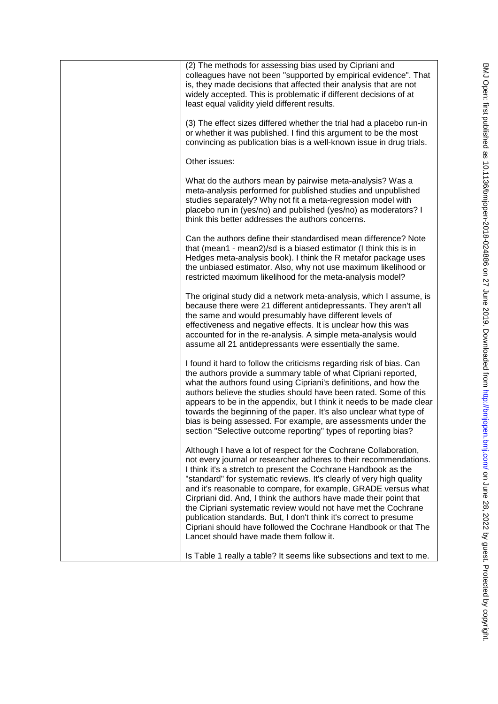| (2) The methods for assessing bias used by Cipriani and<br>colleagues have not been "supported by empirical evidence". That<br>is, they made decisions that affected their analysis that are not<br>widely accepted. This is problematic if different decisions of at<br>least equal validity yield different results.                                                                                                                                                                                                                                                                                                                                                       |
|------------------------------------------------------------------------------------------------------------------------------------------------------------------------------------------------------------------------------------------------------------------------------------------------------------------------------------------------------------------------------------------------------------------------------------------------------------------------------------------------------------------------------------------------------------------------------------------------------------------------------------------------------------------------------|
| (3) The effect sizes differed whether the trial had a placebo run-in<br>or whether it was published. I find this argument to be the most<br>convincing as publication bias is a well-known issue in drug trials.                                                                                                                                                                                                                                                                                                                                                                                                                                                             |
| Other issues:                                                                                                                                                                                                                                                                                                                                                                                                                                                                                                                                                                                                                                                                |
| What do the authors mean by pairwise meta-analysis? Was a<br>meta-analysis performed for published studies and unpublished<br>studies separately? Why not fit a meta-regression model with<br>placebo run in (yes/no) and published (yes/no) as moderators? I<br>think this better addresses the authors concerns.                                                                                                                                                                                                                                                                                                                                                           |
| Can the authors define their standardised mean difference? Note<br>that (mean1 - mean2)/sd is a biased estimator (I think this is in<br>Hedges meta-analysis book). I think the R metafor package uses<br>the unbiased estimator. Also, why not use maximum likelihood or<br>restricted maximum likelihood for the meta-analysis model?                                                                                                                                                                                                                                                                                                                                      |
| The original study did a network meta-analysis, which I assume, is<br>because there were 21 different antidepressants. They aren't all<br>the same and would presumably have different levels of<br>effectiveness and negative effects. It is unclear how this was<br>accounted for in the re-analysis. A simple meta-analysis would<br>assume all 21 antidepressants were essentially the same.                                                                                                                                                                                                                                                                             |
| I found it hard to follow the criticisms regarding risk of bias. Can<br>the authors provide a summary table of what Cipriani reported,<br>what the authors found using Cipriani's definitions, and how the<br>authors believe the studies should have been rated. Some of this<br>appears to be in the appendix, but I think it needs to be made clear<br>towards the beginning of the paper. It's also unclear what type of<br>bias is being assessed. For example, are assessments under the<br>section "Selective outcome reporting" types of reporting bias?                                                                                                             |
| Although I have a lot of respect for the Cochrane Collaboration,<br>not every journal or researcher adheres to their recommendations.<br>I think it's a stretch to present the Cochrane Handbook as the<br>"standard" for systematic reviews. It's clearly of very high quality<br>and it's reasonable to compare, for example, GRADE versus what<br>Cirpriani did. And, I think the authors have made their point that<br>the Cipriani systematic review would not have met the Cochrane<br>publication standards. But, I don't think it's correct to presume<br>Cipriani should have followed the Cochrane Handbook or that The<br>Lancet should have made them follow it. |
| Is Table 1 really a table? It seems like subsections and text to me.                                                                                                                                                                                                                                                                                                                                                                                                                                                                                                                                                                                                         |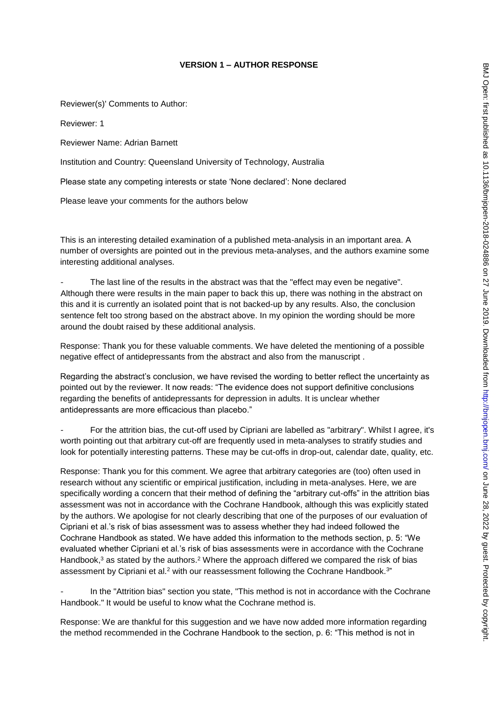# **VERSION 1 – AUTHOR RESPONSE**

Reviewer(s)' Comments to Author:

Reviewer: 1

Reviewer Name: Adrian Barnett

Institution and Country: Queensland University of Technology, Australia

Please state any competing interests or state 'None declared': None declared

Please leave your comments for the authors below

This is an interesting detailed examination of a published meta-analysis in an important area. A number of oversights are pointed out in the previous meta-analyses, and the authors examine some interesting additional analyses.

The last line of the results in the abstract was that the "effect may even be negative". Although there were results in the main paper to back this up, there was nothing in the abstract on this and it is currently an isolated point that is not backed-up by any results. Also, the conclusion sentence felt too strong based on the abstract above. In my opinion the wording should be more around the doubt raised by these additional analysis.

Response: Thank you for these valuable comments. We have deleted the mentioning of a possible negative effect of antidepressants from the abstract and also from the manuscript .

Regarding the abstract's conclusion, we have revised the wording to better reflect the uncertainty as pointed out by the reviewer. It now reads: "The evidence does not support definitive conclusions regarding the benefits of antidepressants for depression in adults. It is unclear whether antidepressants are more efficacious than placebo."

For the attrition bias, the cut-off used by Cipriani are labelled as "arbitrary". Whilst I agree, it's worth pointing out that arbitrary cut-off are frequently used in meta-analyses to stratify studies and look for potentially interesting patterns. These may be cut-offs in drop-out, calendar date, quality, etc.

Response: Thank you for this comment. We agree that arbitrary categories are (too) often used in research without any scientific or empirical justification, including in meta-analyses. Here, we are specifically wording a concern that their method of defining the "arbitrary cut-offs" in the attrition bias assessment was not in accordance with the Cochrane Handbook, although this was explicitly stated by the authors. We apologise for not clearly describing that one of the purposes of our evaluation of Cipriani et al.'s risk of bias assessment was to assess whether they had indeed followed the Cochrane Handbook as stated. We have added this information to the methods section, p. 5: "We evaluated whether Cipriani et al.'s risk of bias assessments were in accordance with the Cochrane Handbook, $3$  as stated by the authors.<sup>2</sup> Where the approach differed we compared the risk of bias assessment by Cipriani et al.<sup>2</sup> with our reassessment following the Cochrane Handbook.<sup>3"</sup>

In the "Attrition bias" section you state, "This method is not in accordance with the Cochrane Handbook." It would be useful to know what the Cochrane method is.

Response: We are thankful for this suggestion and we have now added more information regarding the method recommended in the Cochrane Handbook to the section, p. 6: "This method is not in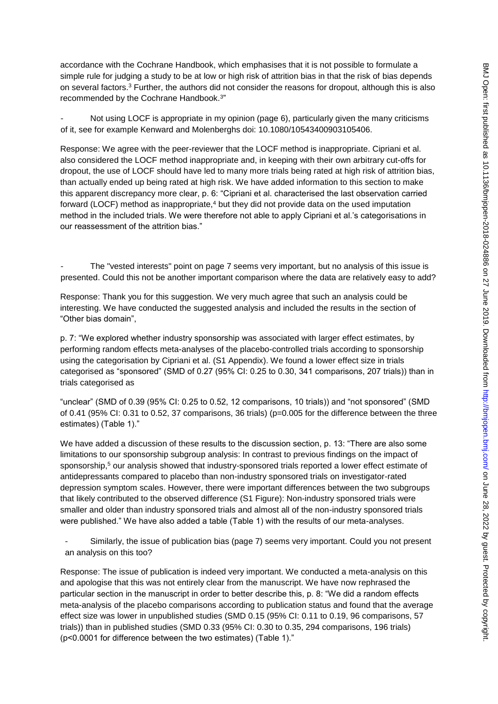accordance with the Cochrane Handbook, which emphasises that it is not possible to formulate a simple rule for judging a study to be at low or high risk of attrition bias in that the risk of bias depends on several factors.<sup>3</sup> Further, the authors did not consider the reasons for dropout, although this is also recommended by the Cochrane Handbook.<sup>3</sup> "

Not using LOCF is appropriate in my opinion (page 6), particularly given the many criticisms of it, see for example Kenward and Molenberghs doi: 10.1080/10543400903105406.

Response: We agree with the peer-reviewer that the LOCF method is inappropriate. Cipriani et al. also considered the LOCF method inappropriate and, in keeping with their own arbitrary cut-offs for dropout, the use of LOCF should have led to many more trials being rated at high risk of attrition bias, than actually ended up being rated at high risk. We have added information to this section to make this apparent discrepancy more clear, p. 6: "Cipriani et al. characterised the last observation carried forward (LOCF) method as inappropriate,<sup>4</sup> but they did not provide data on the used imputation method in the included trials. We were therefore not able to apply Cipriani et al.'s categorisations in our reassessment of the attrition bias."

The "vested interests" point on page 7 seems very important, but no analysis of this issue is presented. Could this not be another important comparison where the data are relatively easy to add?

Response: Thank you for this suggestion. We very much agree that such an analysis could be interesting. We have conducted the suggested analysis and included the results in the section of "Other bias domain",

p. 7: "We explored whether industry sponsorship was associated with larger effect estimates, by performing random effects meta-analyses of the placebo-controlled trials according to sponsorship using the categorisation by Cipriani et al. (S1 Appendix). We found a lower effect size in trials categorised as "sponsored" (SMD of 0.27 (95% CI: 0.25 to 0.30, 341 comparisons, 207 trials)) than in trials categorised as

"unclear" (SMD of 0.39 (95% CI: 0.25 to 0.52, 12 comparisons, 10 trials)) and "not sponsored" (SMD of 0.41 (95% CI: 0.31 to 0.52, 37 comparisons, 36 trials) (p=0.005 for the difference between the three estimates) (Table 1)."

We have added a discussion of these results to the discussion section, p. 13: "There are also some limitations to our sponsorship subgroup analysis: In contrast to previous findings on the impact of sponsorship,<sup>5</sup> our analysis showed that industry-sponsored trials reported a lower effect estimate of antidepressants compared to placebo than non-industry sponsored trials on investigator-rated depression symptom scales. However, there were important differences between the two subgroups that likely contributed to the observed difference (S1 Figure): Non-industry sponsored trials were smaller and older than industry sponsored trials and almost all of the non-industry sponsored trials were published." We have also added a table (Table 1) with the results of our meta-analyses.

- Similarly, the issue of publication bias (page 7) seems very important. Could you not present an analysis on this too?

Response: The issue of publication is indeed very important. We conducted a meta-analysis on this and apologise that this was not entirely clear from the manuscript. We have now rephrased the particular section in the manuscript in order to better describe this, p. 8: "We did a random effects meta-analysis of the placebo comparisons according to publication status and found that the average effect size was lower in unpublished studies (SMD 0.15 (95% CI: 0.11 to 0.19, 96 comparisons, 57 trials)) than in published studies (SMD 0.33 (95% CI: 0.30 to 0.35, 294 comparisons, 196 trials) (p<0.0001 for difference between the two estimates) (Table 1)."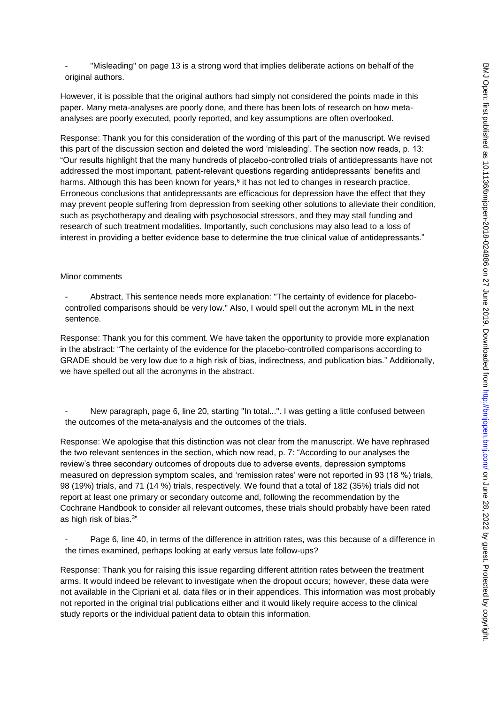- "Misleading" on page 13 is a strong word that implies deliberate actions on behalf of the original authors.

However, it is possible that the original authors had simply not considered the points made in this paper. Many meta-analyses are poorly done, and there has been lots of research on how metaanalyses are poorly executed, poorly reported, and key assumptions are often overlooked.

Response: Thank you for this consideration of the wording of this part of the manuscript. We revised this part of the discussion section and deleted the word 'misleading'. The section now reads, p. 13: "Our results highlight that the many hundreds of placebo-controlled trials of antidepressants have not addressed the most important, patient-relevant questions regarding antidepressants' benefits and harms. Although this has been known for years, $6$  it has not led to changes in research practice. Erroneous conclusions that antidepressants are efficacious for depression have the effect that they may prevent people suffering from depression from seeking other solutions to alleviate their condition, such as psychotherapy and dealing with psychosocial stressors, and they may stall funding and research of such treatment modalities. Importantly, such conclusions may also lead to a loss of interest in providing a better evidence base to determine the true clinical value of antidepressants."

#### Minor comments

- Abstract, This sentence needs more explanation: "The certainty of evidence for placebocontrolled comparisons should be very low." Also, I would spell out the acronym ML in the next sentence.

Response: Thank you for this comment. We have taken the opportunity to provide more explanation in the abstract: "The certainty of the evidence for the placebo-controlled comparisons according to GRADE should be very low due to a high risk of bias, indirectness, and publication bias." Additionally, we have spelled out all the acronyms in the abstract.

New paragraph, page 6, line 20, starting "In total...". I was getting a little confused between the outcomes of the meta-analysis and the outcomes of the trials.

Response: We apologise that this distinction was not clear from the manuscript. We have rephrased the two relevant sentences in the section, which now read, p. 7: "According to our analyses the review's three secondary outcomes of dropouts due to adverse events, depression symptoms measured on depression symptom scales, and 'remission rates' were not reported in 93 (18 %) trials, 98 (19%) trials, and 71 (14 %) trials, respectively. We found that a total of 182 (35%) trials did not report at least one primary or secondary outcome and, following the recommendation by the Cochrane Handbook to consider all relevant outcomes, these trials should probably have been rated as high risk of bias.<sup>3"</sup>

Page 6, line 40, in terms of the difference in attrition rates, was this because of a difference in the times examined, perhaps looking at early versus late follow-ups?

Response: Thank you for raising this issue regarding different attrition rates between the treatment arms. It would indeed be relevant to investigate when the dropout occurs; however, these data were not available in the Cipriani et al. data files or in their appendices. This information was most probably not reported in the original trial publications either and it would likely require access to the clinical study reports or the individual patient data to obtain this information.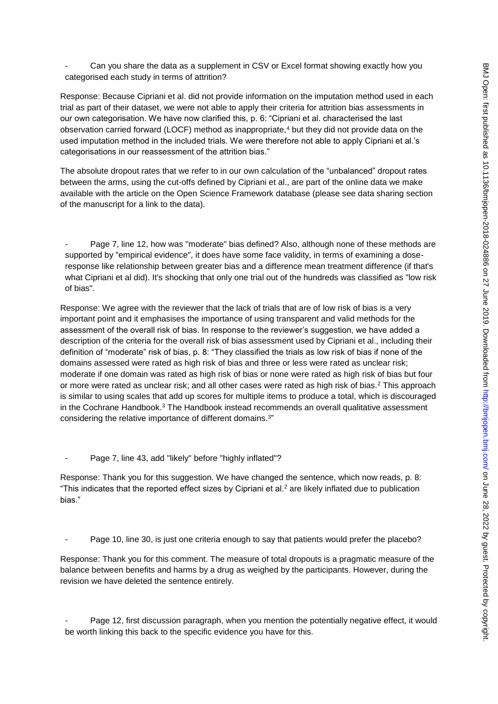Can you share the data as a supplement in CSV or Excel format showing exactly how you categorised each study in terms of attrition?

Response: Because Cipriani et al. did not provide information on the imputation method used in each trial as part of their dataset, we were not able to apply their criteria for attrition bias assessments in our own categorisation. We have now clarified this, p. 6: "Cipriani et al. characterised the last observation carried forward (LOCF) method as inappropriate,<sup>4</sup> but they did not provide data on the used imputation method in the included trials. We were therefore not able to apply Cipriani et al.'s categorisations in our reassessment of the attrition bias."

The absolute dropout rates that we refer to in our own calculation of the "unbalanced" dropout rates between the arms, using the cut-offs defined by Cipriani et al., are part of the online data we make available with the article on the Open Science Framework database (please see data sharing section of the manuscript for a link to the data).

Page 7, line 12, how was "moderate" bias defined? Also, although none of these methods are supported by "empirical evidence", it does have some face validity, in terms of examining a doseresponse like relationship between greater bias and a difference mean treatment difference (if that's what Cipriani et al did). It's shocking that only one trial out of the hundreds was classified as "low risk" of bias".

Response: We agree with the reviewer that the lack of trials that are of low risk of bias is a very important point and it emphasises the importance of using transparent and valid methods for the assessment of the overall risk of bias. In response to the reviewer's suggestion, we have added a description of the criteria for the overall risk of bias assessment used by Cipriani et al., including their definition of "moderate" risk of bias, p. 8: "They classified the trials as low risk of bias if none of the domains assessed were rated as high risk of bias and three or less were rated as unclear risk; moderate if one domain was rated as high risk of bias or none were rated as high risk of bias but four or more were rated as unclear risk; and all other cases were rated as high risk of bias.<sup>2</sup> This approach is similar to using scales that add up scores for multiple items to produce a total, which is discouraged in the Cochrane Handbook.<sup>3</sup> The Handbook instead recommends an overall qualitative assessment considering the relative importance of different domains.<sup>3</sup> "

Page 7, line 43, add "likely" before "highly inflated"?

Response: Thank you for this suggestion. We have changed the sentence, which now reads, p. 8: "This indicates that the reported effect sizes by Cipriani et al. $2$  are likely inflated due to publication bias."

Page 10, line 30, is just one criteria enough to say that patients would prefer the placebo?

Response: Thank you for this comment. The measure of total dropouts is a pragmatic measure of the balance between benefits and harms by a drug as weighed by the participants. However, during the revision we have deleted the sentence entirely.

Page 12, first discussion paragraph, when you mention the potentially negative effect, it would be worth linking this back to the specific evidence you have for this.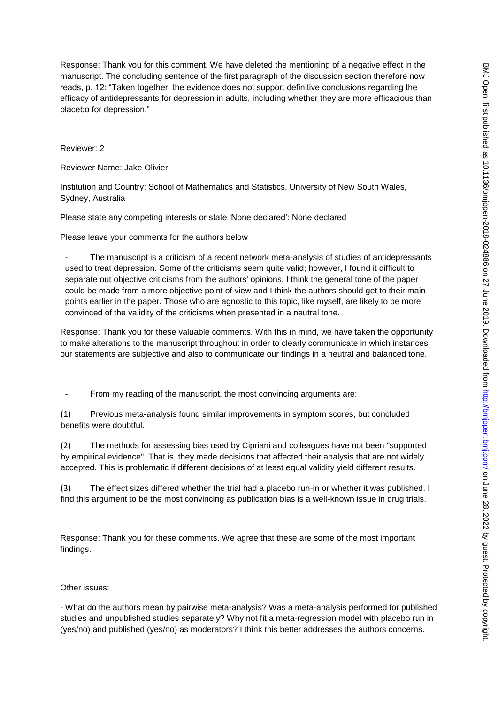Response: Thank you for this comment. We have deleted the mentioning of a negative effect in the manuscript. The concluding sentence of the first paragraph of the discussion section therefore now reads, p. 12: "Taken together, the evidence does not support definitive conclusions regarding the efficacy of antidepressants for depression in adults, including whether they are more efficacious than placebo for depression."

Reviewer: 2

Reviewer Name: Jake Olivier

Institution and Country: School of Mathematics and Statistics, University of New South Wales, Sydney, Australia

Please state any competing interests or state 'None declared': None declared

Please leave your comments for the authors below

The manuscript is a criticism of a recent network meta-analysis of studies of antidepressants used to treat depression. Some of the criticisms seem quite valid; however, I found it difficult to separate out objective criticisms from the authors' opinions. I think the general tone of the paper could be made from a more objective point of view and I think the authors should get to their main points earlier in the paper. Those who are agnostic to this topic, like myself, are likely to be more convinced of the validity of the criticisms when presented in a neutral tone.

Response: Thank you for these valuable comments. With this in mind, we have taken the opportunity to make alterations to the manuscript throughout in order to clearly communicate in which instances our statements are subjective and also to communicate our findings in a neutral and balanced tone.

- From my reading of the manuscript, the most convincing arguments are:

(1) Previous meta-analysis found similar improvements in symptom scores, but concluded benefits were doubtful.

(2) The methods for assessing bias used by Cipriani and colleagues have not been "supported by empirical evidence". That is, they made decisions that affected their analysis that are not widely accepted. This is problematic if different decisions of at least equal validity yield different results.

(3) The effect sizes differed whether the trial had a placebo run-in or whether it was published. I find this argument to be the most convincing as publication bias is a well-known issue in drug trials.

Response: Thank you for these comments. We agree that these are some of the most important findings.

#### Other issues:

- What do the authors mean by pairwise meta-analysis? Was a meta-analysis performed for published studies and unpublished studies separately? Why not fit a meta-regression model with placebo run in (yes/no) and published (yes/no) as moderators? I think this better addresses the authors concerns.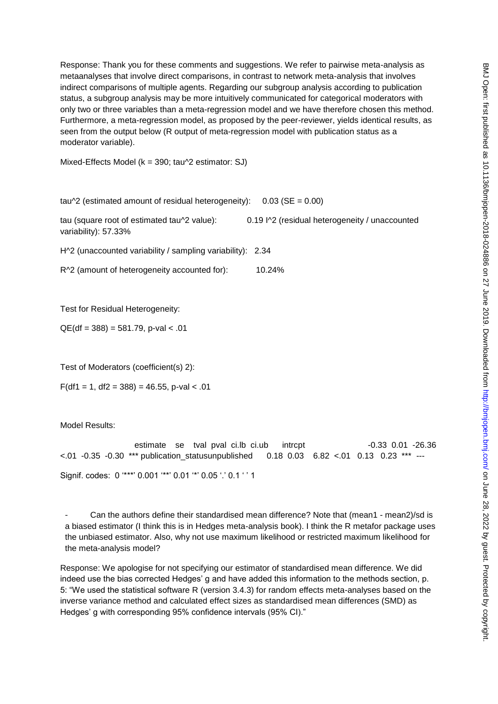Response: Thank you for these comments and suggestions. We refer to pairwise meta-analysis as metaanalyses that involve direct comparisons, in contrast to network meta-analysis that involves indirect comparisons of multiple agents. Regarding our subgroup analysis according to publication status, a subgroup analysis may be more intuitively communicated for categorical moderators with only two or three variables than a meta-regression model and we have therefore chosen this method. Furthermore, a meta-regression model, as proposed by the peer-reviewer, yields identical results, as seen from the output below (R output of meta-regression model with publication status as a moderator variable).

Mixed-Effects Model (k = 390; tau^2 estimator: SJ)

tau^2 (estimated amount of residual heterogeneity):  $0.03$  (SE = 0.00)

tau (square root of estimated tau^2 value): 0.19 I^2 (residual heterogeneity / unaccounted variability): 57.33%

H^2 (unaccounted variability / sampling variability): 2.34

R^2 (amount of heterogeneity accounted for): 10.24%

Test for Residual Heterogeneity:

 $QE(df = 388) = 581.79$ , p-val < .01

Test of Moderators (coefficient(s) 2):

 $F(df1 = 1, df2 = 388) = 46.55$ , p-val < .01

Model Results:

estimate se tval pval ci.lb ci.ub intrcpt -0.33 0.01 -26.36 <.01 -0.35 -0.30 \*\*\* publication\_statusunpublished 0.18 0.03 6.82 <.01 0.13 0.23 \*\*\* --- Signif. codes: 0 '\*\*\*' 0.001 '\*\*' 0.01 '\*' 0.05 '.' 0.1 ' ' 1

Can the authors define their standardised mean difference? Note that (mean1 - mean2)/sd is a biased estimator (I think this is in Hedges meta-analysis book). I think the R metafor package uses the unbiased estimator. Also, why not use maximum likelihood or restricted maximum likelihood for the meta-analysis model?

Response: We apologise for not specifying our estimator of standardised mean difference. We did indeed use the bias corrected Hedges' g and have added this information to the methods section, p. 5: "We used the statistical software R (version 3.4.3) for random effects meta-analyses based on the inverse variance method and calculated effect sizes as standardised mean differences (SMD) as Hedges' g with corresponding 95% confidence intervals (95% CI)."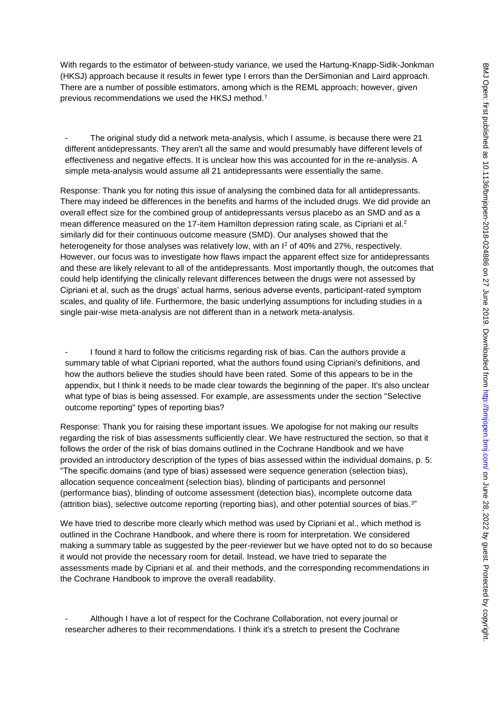With regards to the estimator of between-study variance, we used the Hartung-Knapp-Sidik-Jonkman (HKSJ) approach because it results in fewer type I errors than the DerSimonian and Laird approach. There are a number of possible estimators, among which is the REML approach; however, given previous recommendations we used the HKSJ method.<sup>7</sup>

The original study did a network meta-analysis, which I assume, is because there were 21 different antidepressants. They aren't all the same and would presumably have different levels of effectiveness and negative effects. It is unclear how this was accounted for in the re-analysis. A simple meta-analysis would assume all 21 antidepressants were essentially the same.

Response: Thank you for noting this issue of analysing the combined data for all antidepressants. There may indeed be differences in the benefits and harms of the included drugs. We did provide an overall effect size for the combined group of antidepressants versus placebo as an SMD and as a mean difference measured on the 17-item Hamilton depression rating scale, as Cipriani et al.<sup>2</sup> similarly did for their continuous outcome measure (SMD). Our analyses showed that the heterogeneity for those analyses was relatively low, with an  $l^2$  of 40% and 27%, respectively. However, our focus was to investigate how flaws impact the apparent effect size for antidepressants and these are likely relevant to all of the antidepressants. Most importantly though, the outcomes that could help identifying the clinically relevant differences between the drugs were not assessed by Cipriani et al, such as the drugs' actual harms, serious adverse events, participant-rated symptom scales, and quality of life. Furthermore, the basic underlying assumptions for including studies in a single pair-wise meta-analysis are not different than in a network meta-analysis.

I found it hard to follow the criticisms regarding risk of bias. Can the authors provide a summary table of what Cipriani reported, what the authors found using Cipriani's definitions, and how the authors believe the studies should have been rated. Some of this appears to be in the appendix, but I think it needs to be made clear towards the beginning of the paper. It's also unclear what type of bias is being assessed. For example, are assessments under the section "Selective outcome reporting" types of reporting bias?

Response: Thank you for raising these important issues. We apologise for not making our results regarding the risk of bias assessments sufficiently clear. We have restructured the section, so that it follows the order of the risk of bias domains outlined in the Cochrane Handbook and we have provided an introductory description of the types of bias assessed within the individual domains, p. 5: "The specific domains (and type of bias) assessed were sequence generation (selection bias), allocation sequence concealment (selection bias), blinding of participants and personnel (performance bias), blinding of outcome assessment (detection bias), incomplete outcome data (attrition bias), selective outcome reporting (reporting bias), and other potential sources of bias.<sup>3"</sup>

We have tried to describe more clearly which method was used by Cipriani et al., which method is outlined in the Cochrane Handbook, and where there is room for interpretation. We considered making a summary table as suggested by the peer-reviewer but we have opted not to do so because it would not provide the necessary room for detail. Instead, we have tried to separate the assessments made by Cipriani et al. and their methods, and the corresponding recommendations in the Cochrane Handbook to improve the overall readability.

Although I have a lot of respect for the Cochrane Collaboration, not every journal or researcher adheres to their recommendations. I think it's a stretch to present the Cochrane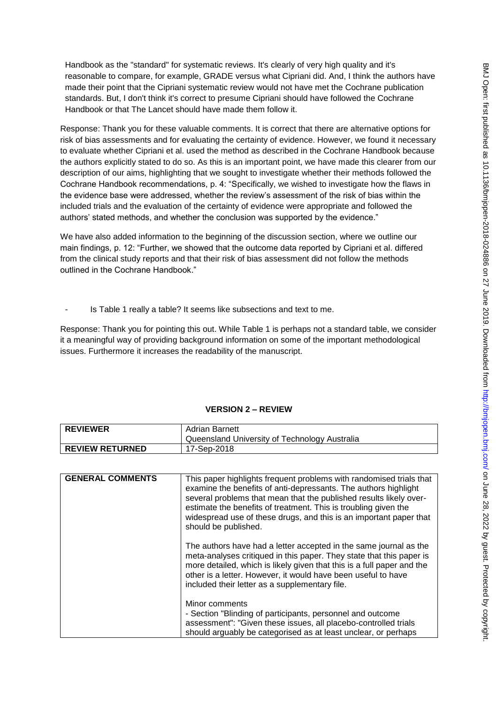Handbook as the "standard" for systematic reviews. It's clearly of very high quality and it's reasonable to compare, for example, GRADE versus what Cipriani did. And, I think the authors have made their point that the Cipriani systematic review would not have met the Cochrane publication standards. But, I don't think it's correct to presume Cipriani should have followed the Cochrane Handbook or that The Lancet should have made them follow it.

Response: Thank you for these valuable comments. It is correct that there are alternative options for risk of bias assessments and for evaluating the certainty of evidence. However, we found it necessary to evaluate whether Cipriani et al. used the method as described in the Cochrane Handbook because the authors explicitly stated to do so. As this is an important point, we have made this clearer from our description of our aims, highlighting that we sought to investigate whether their methods followed the Cochrane Handbook recommendations, p. 4: "Specifically, we wished to investigate how the flaws in the evidence base were addressed, whether the review's assessment of the risk of bias within the included trials and the evaluation of the certainty of evidence were appropriate and followed the authors' stated methods, and whether the conclusion was supported by the evidence."

We have also added information to the beginning of the discussion section, where we outline our main findings, p. 12: "Further, we showed that the outcome data reported by Cipriani et al. differed from the clinical study reports and that their risk of bias assessment did not follow the methods outlined in the Cochrane Handbook."

Is Table 1 really a table? It seems like subsections and text to me.

Response: Thank you for pointing this out. While Table 1 is perhaps not a standard table, we consider it a meaningful way of providing background information on some of the important methodological issues. Furthermore it increases the readability of the manuscript.

# **VERSION 2 – REVIEW**

| <b>REVIEWER</b>        | Adrian Barnett<br>Queensland University of Technology Australia |
|------------------------|-----------------------------------------------------------------|
| <b>REVIEW RETURNED</b> | 17-Sep-2018                                                     |

| <b>GENERAL COMMENTS</b> | This paper highlights frequent problems with randomised trials that<br>examine the benefits of anti-depressants. The authors highlight<br>several problems that mean that the published results likely over-<br>estimate the benefits of treatment. This is troubling given the<br>widespread use of these drugs, and this is an important paper that<br>should be published. |
|-------------------------|-------------------------------------------------------------------------------------------------------------------------------------------------------------------------------------------------------------------------------------------------------------------------------------------------------------------------------------------------------------------------------|
|                         | The authors have had a letter accepted in the same journal as the<br>meta-analyses critiqued in this paper. They state that this paper is<br>more detailed, which is likely given that this is a full paper and the<br>other is a letter. However, it would have been useful to have<br>included their letter as a supplementary file.                                        |
|                         | Minor comments<br>- Section "Blinding of participants, personnel and outcome<br>assessment": "Given these issues, all placebo-controlled trials<br>should arguably be categorised as at least unclear, or perhaps                                                                                                                                                             |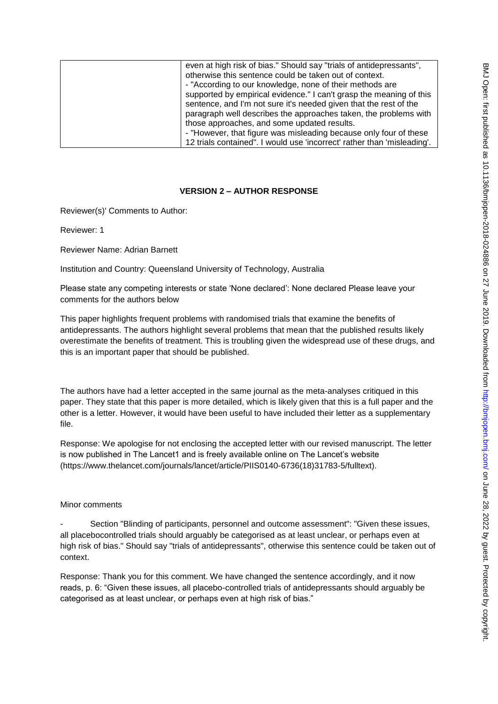| even at high risk of bias." Should say "trials of antidepressants",<br>otherwise this sentence could be taken out of context.<br>- "According to our knowledge, none of their methods are<br>supported by empirical evidence." I can't grasp the meaning of this<br>sentence, and I'm not sure it's needed given that the rest of the<br>paragraph well describes the approaches taken, the problems with<br>those approaches, and some updated results.<br>- "However, that figure was misleading because only four of these |
|-------------------------------------------------------------------------------------------------------------------------------------------------------------------------------------------------------------------------------------------------------------------------------------------------------------------------------------------------------------------------------------------------------------------------------------------------------------------------------------------------------------------------------|
| 12 trials contained". I would use 'incorrect' rather than 'misleading'.                                                                                                                                                                                                                                                                                                                                                                                                                                                       |

## **VERSION 2 – AUTHOR RESPONSE**

Reviewer(s)' Comments to Author:

Reviewer: 1

Reviewer Name: Adrian Barnett

Institution and Country: Queensland University of Technology, Australia

Please state any competing interests or state 'None declared': None declared Please leave your comments for the authors below

This paper highlights frequent problems with randomised trials that examine the benefits of antidepressants. The authors highlight several problems that mean that the published results likely overestimate the benefits of treatment. This is troubling given the widespread use of these drugs, and this is an important paper that should be published.

The authors have had a letter accepted in the same journal as the meta-analyses critiqued in this paper. They state that this paper is more detailed, which is likely given that this is a full paper and the other is a letter. However, it would have been useful to have included their letter as a supplementary file.

Response: We apologise for not enclosing the accepted letter with our revised manuscript. The letter is now published in The Lancet1 and is freely available online on The Lancet's website (https://www.thelancet.com/journals/lancet/article/PIIS0140-6736(18)31783-5/fulltext).

## Minor comments

Section "Blinding of participants, personnel and outcome assessment": "Given these issues, all placebocontrolled trials should arguably be categorised as at least unclear, or perhaps even at high risk of bias." Should say "trials of antidepressants", otherwise this sentence could be taken out of context.

Response: Thank you for this comment. We have changed the sentence accordingly, and it now reads, p. 6: "Given these issues, all placebo-controlled trials of antidepressants should arguably be categorised as at least unclear, or perhaps even at high risk of bias."